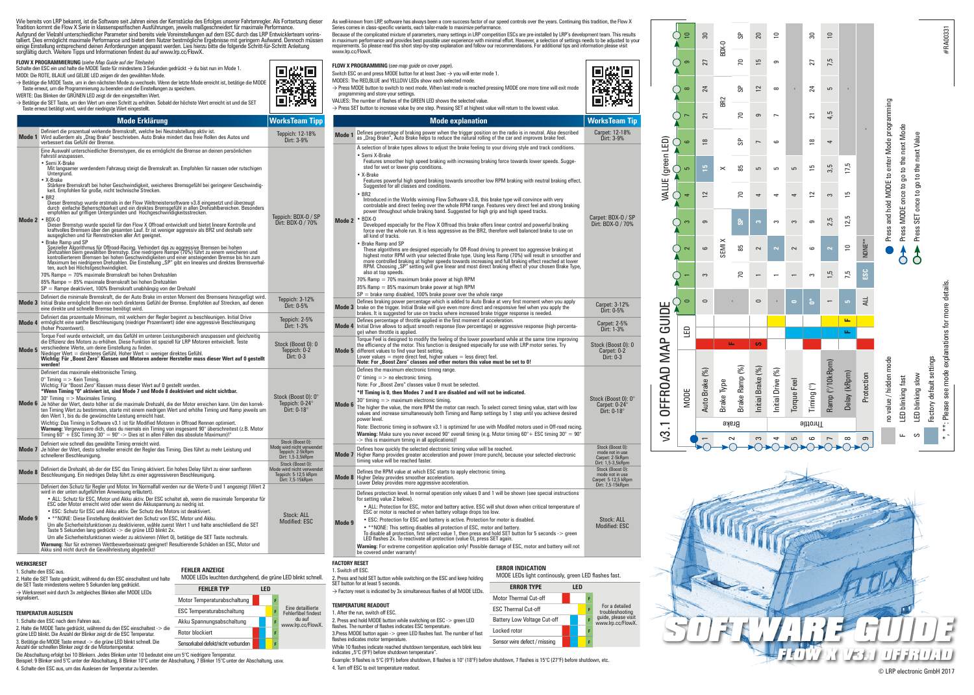|                   | Wie bereits von LRP bekannt, ist die Software seit Jahren eines der Kernstücke des Erfolges unserer Fahrtenregler. Als Fortsetzung dieser<br>Tradition kommt die Flow X Serie in klassenspezifischen Ausführungen, jeweils maßgeschneidert für maximale Performance.<br>Aufgrund der Vielzahl unterschiedlicher Parameter sind bereits viele Voreinstellungen auf dem ESC durch das LRP Entwicklerteam vorins-<br>talliert. Dies ermöglicht maximale Performance und bietet dem Nutzer bestmögliche Ergebnisse mit geringem Aufwand. Dennoch müssen<br>einige Einstellung entsprechend deinen Anforderungen angepasst werden. Lies hierzu bitte die folgende Schritt-für-Schritt Anleitung<br>sorgfältig durch. Weitere Tipps und Informationen findest du auf www.Im.cc/FlowX.                                                                                                                                                            |                                                                                           | www.lrp.cc/FlowX.                          | As well-known from LRP, software has always been a core success factor of our speed controls over the years.<br>Series comes in class-specific variants, each tailor-made to maximize performance.<br>Because of the complicated mixture of parameters, many settings in LRP competition ESCs are pre-installed by<br>in maximum performance and provides best possible user experience with minimal effort. However, a selection<br>requirements. So please read this short step-by-step explanation and follow our recommendations. For addition                                                                                                                                                                                                                                                    |
|-------------------|--------------------------------------------------------------------------------------------------------------------------------------------------------------------------------------------------------------------------------------------------------------------------------------------------------------------------------------------------------------------------------------------------------------------------------------------------------------------------------------------------------------------------------------------------------------------------------------------------------------------------------------------------------------------------------------------------------------------------------------------------------------------------------------------------------------------------------------------------------------------------------------------------------------------------------------------|-------------------------------------------------------------------------------------------|--------------------------------------------|-------------------------------------------------------------------------------------------------------------------------------------------------------------------------------------------------------------------------------------------------------------------------------------------------------------------------------------------------------------------------------------------------------------------------------------------------------------------------------------------------------------------------------------------------------------------------------------------------------------------------------------------------------------------------------------------------------------------------------------------------------------------------------------------------------|
|                   | FLOW X PROGRAMMIERUNG (siehe Map Guide auf der Titelseite)<br>Schalte den ESC ein und halte die MODE Taste für mindestens 3 Sekunden gedrückt → du bist nun im Mode 1.<br>MODI: Die ROTE, BLAUE und GELBE LED zeigen dir den gewählten Mode.<br>→ Betätige die MODE Taste, um in den nächsten Mode zu wechseln. Wenn der letzte Mode erreicht ist, betätige die MODE<br>Taste erneut, um die Programmierung zu beenden und die Einstellungen zu speichem.<br>WERTE: Das Blinken der GRÜNEN LED zeigt dir den eingestellten Wert.<br>→ Betätige die SET Taste, um den Wert um einen Schritt zu erhöhen. Sobald der höchste Wert erreicht ist und die SET<br>Taste erneut betätigt wird, wird der niedrigste Wert eingestellt.                                                                                                                                                                                                               |                                                                                           |                                            | FLOW X PROGRAMMING (see map guide on cover page).<br>Switch ESC on and press MODE button for at least 3sec $\rightarrow$ you will enter mode 1.<br>MODES: The RED,BLUE and YELLOW LEDs show each selected mode.<br>> Press MODE button to switch to next mode. When last mode is reached pressing MODE one more time will<br>programming and store your settings.<br>VALUES: The number of flashes of the GREEN LED shows the selected value.<br>→ Press SET button to increase value by one step. Pressing SET at highest value will return to the lowest value                                                                                                                                                                                                                                      |
|                   | <b>Mode Erklärung</b>                                                                                                                                                                                                                                                                                                                                                                                                                                                                                                                                                                                                                                                                                                                                                                                                                                                                                                                      | <b>WorksTeam Tipp</b>                                                                     |                                            | <b>Mode explanation</b>                                                                                                                                                                                                                                                                                                                                                                                                                                                                                                                                                                                                                                                                                                                                                                               |
|                   | Definiert die prozentual wirkende Bremskraft, welche bei Neutralstellung aktiv ist.<br>Mode 1 Wird außerdem als "Drag Brake" beschrieben. Auto Brake mindert das freie Rollen des Autos und<br>verbessert das Gefühl der Bremse.                                                                                                                                                                                                                                                                                                                                                                                                                                                                                                                                                                                                                                                                                                           | Teppich: 12-18%<br>Dirt: 3-9%                                                             | Mode 1                                     | Defines percentage of braking power when the trigger position on the radio is in neutral. Also<br>as "Drag Brake", Auto Brake helps to reduce the natural rolling of the car and improves brake f                                                                                                                                                                                                                                                                                                                                                                                                                                                                                                                                                                                                     |
|                   | Eine Auswahl unterschiedlicher Bremstypen, die es ermöglicht die Bremse an deinen persönlichen<br>Fahrstil anzupassen.<br>• Semi X-Brake<br>Mit langsamer werdendem Fahrzeug steigt die Bremskraft an. Empfohlen für nassen oder rutschigen<br>Untergrund.<br>· X-Brake<br>Stärkere Bremskraft bei hoher Geschwindigkeit, weicheres Bremsgefühl bei geringerer Geschwindig-<br>keit. Empfohlen für große, nicht technische Strecken.<br>$-BR2$<br>Dieser Bremstyp wurde erstmals in der Flow Weltmeistersoftware v3.8 eingesetzt und überzeugt                                                                                                                                                                                                                                                                                                                                                                                             |                                                                                           |                                            | A selection of brake types allows to adjust the brake feeling to your driving style and track cor<br>• Semi X-Brake<br>Features smoother high speed braking with increasing braking force towards lower speeds<br>sted for wet or lower grip conditions.<br>· X-Brake<br>Features powerful high speed braking towards smoother low RPM braking with neutral bra<br>Suggested for all classes and conditions.<br>$-BR2$                                                                                                                                                                                                                                                                                                                                                                                |
| Mode 2            | durch einfache Beherrschbarkeit und ein direktes Bremsgefühl in allen Drehzahlbereichen. Besonders empfohlen auf griffigen Untergründen und Hochgeschwindigkeitsstrecken.<br>BDX-0<br>Dieser Bremstyp wurde speziell für den Flow X Offroad entwickelt und bietet lineare Kontrolle und<br>kraftvolles Bremsen über den gesamten Lauf. Er ist weniger aggressiv als BR2 und deshalb sehr ausgeglichen und für Rennstrecken aller Art geeignet.<br>Brake Ramp und SP<br>uraxe nanno uno civilidade a Gregoria de Serbina de Serbina de Serbina de Serbina de Serbina de Serbina de Ser<br>De Serbina de Serbina de Serbina de Serbina de Serbina de Serbina (1795) functa e incidendante de la controlle<br><br>ten, auch bei Höchstgeschwindigkeit.                                                                                                                                                                                        | Teppich: BDX-0 / SP<br>Dirt: BDX-0 / 70%                                                  | Mode 2                                     | $-BDX-0$<br>Developed especially for the Flow X Offroad this brake offers linear control and powerful bra<br>force over the whole run. It is less aggressive as the BR2, therefore well balanced brake to<br>all kind of tracks<br>• Brake Ramp and SP<br>These algorithms are designed especially for Off-Road driving to prevent too aggressive bra<br>highest motor RPM with your selected Brake type. Using less Ramp (70%) will result in sm<br>more controlled braking at higher speeds towards increasing and full braking effect reached<br>RPM. Choosing "SP" setting will give linear and most direct braking effect of your chosen E<br>also at top speeds.                                                                                                                                |
|                   | 70% Rampe = 70% maximale Bremskraft bei hohen Drehzahlen<br>85% Rampe = 85% maximale Bremskraft bei hohen Drehzahlen<br>SP = Rampe deaktiviert, 100% Bremskraft unabhängig von der Drehzahl<br>Definiert die minimale Bremskraft, die der Auto Brake im ersten Moment des Bremsens hinzugefügt wird.<br>Mode 3 Initial Brake ermöglicht Ihnen ein noch direkteres Gefühl der Bremse. Empfohlen auf Strecken, auf denen                                                                                                                                                                                                                                                                                                                                                                                                                                                                                                                     | Teppich: 3-12%                                                                            |                                            | 70% Ramp = 70% maximum brake power at high RPM<br>85% Ramp = 85% maximum brake power at high RPM<br>$SP =$ brake ramp disabled, 100% brake power over the whole range<br>Defines braking power percentage which is added to Auto Brake at very first moment when yo                                                                                                                                                                                                                                                                                                                                                                                                                                                                                                                                   |
|                   | eine direkte und schnelle Bremse benötigt wird.<br>Definiert das prozentuale Minimum, mit welchem der Regler beginnt zu beschleunigen. Initial Drive                                                                                                                                                                                                                                                                                                                                                                                                                                                                                                                                                                                                                                                                                                                                                                                       | Dirt: 0-5%                                                                                |                                            | Mode 3 brake on the trigger. Initial Brake will give even more direct and responsive feel when you appl<br>brakes. It is suggested for use on tracks where increased brake trigger response is needed.                                                                                                                                                                                                                                                                                                                                                                                                                                                                                                                                                                                                |
|                   | Mode 4 ermöglicht eine sanfte Beschleunigung (niedriger Prozentwert) oder eine aggressive Beschleunigung<br>(hoher Prozentwert).                                                                                                                                                                                                                                                                                                                                                                                                                                                                                                                                                                                                                                                                                                                                                                                                           | Teppich: 2-5%<br>Dirt: 1-3%                                                               |                                            | Defines percentage of throttle applied in the first moment of acceleration.<br>Mode 4 Initial Drive allows to adjust smooth response (low percentage) or aggressive response (high p<br>ge) when throttle is applied.                                                                                                                                                                                                                                                                                                                                                                                                                                                                                                                                                                                 |
| Mode 5            | Torque Feel wurde entwickelt, um das Gefühl im unteren Leistungsbereich anzupassen und gleichzeitig<br>die Effizienz des Motors zu erhöhen. Diese Funktion ist speziell für LRP Motoren entwickelt. Teste<br>die Empresia des motors de cinematicales et anti-<br>verschiedene Werte, um deine Einstellung zu finden.<br>Niedriger Wert = direkteres Gefühl, Hoher Wert = weniger direktes Gefühl.<br>Wichtig: Für "Boost Zero" Klassen und Motoren anderer Hersteller muss dieser Wert auf 0 gestellt<br>werden!                                                                                                                                                                                                                                                                                                                                                                                                                          | Stock (Boost 0): 0<br>Teppich: 0-2<br>Dirt: 0-3                                           |                                            | Torque Feel is designed to modify the feeling of the lower powerband while at the same time i<br>the efficiency of the motor. This function is designed especially for use with LRP motor series.<br>Mode 5 different values to find your best setting.<br>Lower values $=$ more direct feel, higher values $=$ less direct feel.<br>Note: For "Boost Zero" classes and other motors this value must be set to 0!                                                                                                                                                                                                                                                                                                                                                                                     |
|                   | Definiert das maximale elektronische Timing.<br>0° Timing = > Kein Timing.<br>Wichtig: Für "Boost Zero" Klassen muss dieser Wert auf 0 gestellt werden.<br>*Wenn Timing "0" aktiviert ist, sind Mode 7 und Mode 8 deaktiviert und nicht sichtbar.<br>$30^\circ$ Timing = > Maximales Timing.<br>Mode 6 Je höher der Wert, desto höher ist die maximale Drehzahl, die der Motor erreichen kann. Um den korrek-<br>ten Timing Wert zu bestimmen, starte mit einem niedrigen Wert und erhöhe Timing und Ramp jeweils um<br>den Wert 1, bis du die gewünschte Leistung erreicht hast.<br>Wichtig: Das Timing in Software v3.1 ist für Modified Motoren in Offroad Rennen optimiert.<br>Warnung: Vergewissere dich, dass du niemals ein Timing von insgesamt 90° überschreitest (z.B. Motor<br>Timing $60^\circ + \text{ESC}$ Timing $30^\circ = 90^\circ \Rightarrow$ Dies ist in allen Fällen das absolute Maximum)!"                         | Stock (Boost 0): 0°<br>Teppich: 0-24°<br>Dirt: 0-18°                                      | Mode 6                                     | Defines the maximum electronic timing range.<br>$0^{\circ}$ timing = > no electronic timing.<br>Note: For "Boost Zero" classes value 0 must be selected.<br>*If Timing is 0, then Modes 7 and 8 are disabled and will not be indicated.<br>$30^\circ$ timing $\Rightarrow$ maximum electronic timing.<br>The higher the value, the more RPM the motor can reach. To select correct timing value, start<br>values and increase simultaneously both Timing and Ramp settings by 1 step until you achieve<br>power level<br>Note: Electronic timing in software v3.1 is optimized for use with Modifed motors used in Off-r<br>Warning: Make sure you never exceed 90° overall timing (e.g. Motor timing 60° + ESC timing                                                                                |
|                   | Definiert wie schnell das gewählte Timing erreicht wird.<br>Mode 7 Je höher der Wert, desto schneller erreicht der Regler das Timing. Dies führt zu mehr Leistung und<br>schnellerer Beschleunigung.                                                                                                                                                                                                                                                                                                                                                                                                                                                                                                                                                                                                                                                                                                                                       | Stock (Boost 0):<br>Mode wird nicht verwendet<br>Teppich: 2-5kRpm<br>Dirt: 1,5-3,5kRpm    | Mode 7                                     | -> this is maximum timing in all applications)!<br>Defines how quickly the selected electronic timing value will be reached.<br>Higher Ramp provides greater acceleration and power (more punch), because your selected el<br>timing value will be reached faster.                                                                                                                                                                                                                                                                                                                                                                                                                                                                                                                                    |
| Mode 8            | Definiert die Drehzahl, ab der der ESC das Timing aktiviert. Ein hohes Delay führt zu einer sanfteren<br>Beschleunigung. Ein niedriges Delay führt zu einer aggressiveren Beschleunigung.                                                                                                                                                                                                                                                                                                                                                                                                                                                                                                                                                                                                                                                                                                                                                  | Stock (Boost 0):<br>Mode wird nicht verwendet<br>Teppich: 5-12,5 kRpm<br>Dirt: 7,5-15kRpm | Mode 8                                     | Defines the RPM value at which ESC starts to apply electronic timing.<br>Higher Delay provides smoother acceleration.                                                                                                                                                                                                                                                                                                                                                                                                                                                                                                                                                                                                                                                                                 |
| Mode 9            | Definiert den Schutz für Regler und Motor. Im Normalfall werden nur die Werte 0 und 1 angezeigt (Wert 2<br>wird in der unten aufgeführten Anweisung erläutert).<br>ALL: Schutz für ESC, Motor und Akku aktiv. Der ESC schaltet ab, wenn die maximale Temperatur für<br>ESC oder Motor erreicht wird oder wenn die Akkuspannung zu niedrig ist.<br>· ESC: Schutz für ESC und Akku aktiv. Der Schutz des Motors ist deaktiviert.<br>. **NONE: Diese Einstellung deaktiviert den Schutz von ESC, Motor und Akku.<br>Um alle Sicherheitsfunktionen zu deaktivieren, wähle zuerst Wert 1 und halte anschließend die SET<br>Taste 5 Sekunden lang gedrückt -> die grüne LED blinkt 2x.<br>Um alle Sicherheitsfunktionen wieder zu aktivieren (Wert 0), betätige die SET Taste nochmals.<br>Warnung: Nur für extremen Wettbewerbseinsatz geeignet! Resultierende Schäden an ESC, Motor und<br>Akku sind nicht durch die Gewährleistung abgedeckt! | <b>Stock: ALL</b><br>Modified: ESC                                                        | Mode 9                                     | Lower Delay provides more aggressive acceleration.<br>Defines protection level. In normal operation only values 0 and 1 will be shown (see special in:<br>for setting value 2 below).<br>. ALL: Protection for ESC, motor and battery active. ESC will shut down when critical temp<br>ESC or motor is reached or when battery voltage drops too low.<br>. ESC: Protection for ESC and battery is active. Protection for motor is disabled.<br>. **NONE: This setting disables all protection of ESC, motor and battery.<br>To disable all protection, first select value 1, then press and hold SET button for 5 seconds -<br>LED flashes 2x. To reactivate all protection (value 0), press SET again.<br>Warning: For extreme competition application only! Possible damage of ESC, motor and batte |
| <b>WERKSRESET</b> | <b>FEHLER ANZEIGE</b><br>1. Schalte den ESC aus                                                                                                                                                                                                                                                                                                                                                                                                                                                                                                                                                                                                                                                                                                                                                                                                                                                                                            |                                                                                           | <b>FACTORY RESET</b><br>1. Switch off FSC. | be covered under warranty<br><b>ERROR INDICATION</b>                                                                                                                                                                                                                                                                                                                                                                                                                                                                                                                                                                                                                                                                                                                                                  |



Die Abschaltung erfolgt bei 10 Blinkern. Jedes Blinken unter 10 bedeutet eine um 5°C niedrigere Temperatur.<br>Beispiel: 9 Blinker sind 5°C unter der Abschaltung, 8 Blinker 10°C unter der Abschaltung, 7 Blinker 15°C unter de 4. Schalte den ESC aus, um das Auslesen der Temperatur zu beenden.

**TEMPERATUR AUSLESEN**

ars. Continuing this tradition, the Flow X

**WorksTeam Tip** 

.<br>Because of the competition in LRP's development team. This results in maximum performance and provides best possible user experience with minimal effort. However, a selection of settings needs to be adjusted to your<br>requirements. So please read this short step-by-step explanation and foll ▓▓

 $\to$  Press MODE button to switch to next mode. When last mode is reached pressing MODE one more time will exit mode

| %               | Mode 1                                                                                                                                                                                                                                                | Defines percentage of braking power when the trigger position on the radio is in neutral. Also described<br>as "Drag Brake", Auto Brake helps to reduce the natural rolling of the car and improves brake feel.                                                                                                                                                                                                                                                                                                                                                                                                   |                                                                                 | Carpet: 12-18%<br>Dirt: 3-9%                                                   |  |
|-----------------|-------------------------------------------------------------------------------------------------------------------------------------------------------------------------------------------------------------------------------------------------------|-------------------------------------------------------------------------------------------------------------------------------------------------------------------------------------------------------------------------------------------------------------------------------------------------------------------------------------------------------------------------------------------------------------------------------------------------------------------------------------------------------------------------------------------------------------------------------------------------------------------|---------------------------------------------------------------------------------|--------------------------------------------------------------------------------|--|
| <b>SP</b><br>1% |                                                                                                                                                                                                                                                       | A selection of brake types allows to adjust the brake feeling to your driving style and track conditions.<br>• Semi X-Brake<br>Features smoother high speed braking with increasing braking force towards lower speeds. Sugge-<br>sted for wet or lower grip conditions.                                                                                                                                                                                                                                                                                                                                          |                                                                                 |                                                                                |  |
|                 | Mode 2                                                                                                                                                                                                                                                | • X-Brake<br>Features powerful high speed braking towards smoother low RPM braking with neutral braking effect.<br>Suggested for all classes and conditions.<br>$-BR2$<br>Introduced in the Worlds winning Flow Software v3.8, this brake type will convince with very<br>controlable and direct feeling over the whole RPM range. Features very direct feel and strong braking<br>power throughout whole braking band. Suggested for high grip and high speed tracks.                                                                                                                                            |                                                                                 |                                                                                |  |
|                 |                                                                                                                                                                                                                                                       | $BDX-0$<br>Developed especially for the Flow X Offroad this brake offers linear control and powerful braking<br>force over the whole run. It is less aggressive as the BR2, therefore well balanced brake to use on<br>all kind of tracks                                                                                                                                                                                                                                                                                                                                                                         | Carpet: BDX-0 / SP<br>Dirt: BDX-0 / 70%                                         |                                                                                |  |
|                 |                                                                                                                                                                                                                                                       | <b>Brake Ramp and SF</b><br>These algorithms are designed especially for Off-Road driving to prevent too aggressive braking at<br>highest motor RPM with your selected Brake type. Using less Ramp (70%) will result in smoother and<br>more controlled braking at higher speeds towards increasing and full braking effect reached at lower<br>RPM. Choosing "SP" setting will give linear and most direct braking effect of your chosen Brake Type,<br>also at top speeds.                                                                                                                                      |                                                                                 |                                                                                |  |
|                 |                                                                                                                                                                                                                                                       | 70% Ramp = 70% maximum brake power at high RPM<br>85% Ramp = 85% maximum brake power at high RPM                                                                                                                                                                                                                                                                                                                                                                                                                                                                                                                  |                                                                                 |                                                                                |  |
|                 |                                                                                                                                                                                                                                                       | $SP =$ brake ramp disabled, 100% brake power over the whole range                                                                                                                                                                                                                                                                                                                                                                                                                                                                                                                                                 |                                                                                 |                                                                                |  |
| 6               |                                                                                                                                                                                                                                                       | Defines braking power percentage which is added to Auto Brake at very first moment when you apply<br>Mode 3 brake on the trigger. Initial Brake will give even more direct and responsive feel when you apply the brakes. It is suggested for use on tracks where increased brake trigger response is needed.                                                                                                                                                                                                                                                                                                     |                                                                                 | Carpet: 3-12%<br>Dirt: 0-5%                                                    |  |
|                 |                                                                                                                                                                                                                                                       | Defines percentage of throttle applied in the first moment of acceleration.<br>Mode 4 Initial Drive allows to adjust smooth response (low percentage) or aggressive response (high percenta-<br>ge) when throttle is applied.                                                                                                                                                                                                                                                                                                                                                                                     |                                                                                 | Carpet: 2-5%<br>Dirt: 1-3%                                                     |  |
| $\bf{0}$        |                                                                                                                                                                                                                                                       | Torque Feel is designed to modify the feeling of the lower powerband while at the same time improving<br>the efficiency of the motor. This function is designed especially for use with LRP motor series. Try<br>Mode 5 different values to find your best setting.<br>Lower values $=$ more direct feel, higher values $=$ less direct feel.                                                                                                                                                                                                                                                                     | Stock (Boost 0): 0<br>Carpet: 0-2<br>Dirt: 0-3                                  |                                                                                |  |
|                 |                                                                                                                                                                                                                                                       | Note: For "Boost Zero" classes and other motors this value must be set to 0!<br>Defines the maximum electronic timing range.                                                                                                                                                                                                                                                                                                                                                                                                                                                                                      |                                                                                 |                                                                                |  |
| $0^\circ$       | Mode 6                                                                                                                                                                                                                                                | $0^{\circ}$ timing $\Rightarrow$ no electronic timing.<br>Note: For "Boost Zero" classes value 0 must be selected.<br>*If Timing is 0, then Modes 7 and 8 are disabled and will not be indicated.<br>$30^{\circ}$ timing $\Rightarrow$ maximum electronic timing.<br>The higher the value, the more RPM the motor can reach. To select correct timing value, start with low<br>values and increase simultaneously both Timing and Ramp settings by 1 step until you achieve desired<br>power level.<br>Note: Electronic timing in software v3.1 is optimized for use with Modifed motors used in Off-road racing. | Stock (Boost 0): 0°<br>Carpet: $0-24^\circ$<br>Dirt: 0-18°                      |                                                                                |  |
|                 |                                                                                                                                                                                                                                                       | <b>Warning:</b> Make sure you never exceed 90° overall timing (e.g. Motor timing 60° + ESC timing 30° = 90°<br>-> this is maximum timing in all applications)!                                                                                                                                                                                                                                                                                                                                                                                                                                                    |                                                                                 |                                                                                |  |
| endet           |                                                                                                                                                                                                                                                       | Defines how quickly the selected electronic timing value will be reached.<br>Mode 7 Higher Ramp provides greater acceleration and power (more punch), because your selected electronic<br>timing value will be reached faster.                                                                                                                                                                                                                                                                                                                                                                                    |                                                                                 | Stock (Boost 0):<br>mode not in use<br>Carpet: 2-5kRpm<br>Dirt: 1,5-3,5kRpm    |  |
| endet<br>m      |                                                                                                                                                                                                                                                       | Defines the RPM value at which ESC starts to apply electronic timing.<br>Mode 8 Higher Delay provides smoother acceleration.<br>Lower Delay provides more aggressive acceleration.                                                                                                                                                                                                                                                                                                                                                                                                                                |                                                                                 | Stock (Boost 0):<br>mode not in use<br>Carpet: 5-12,5 kRpm<br>Dirt: 7,5-15kRpm |  |
|                 |                                                                                                                                                                                                                                                       | Defines protection level. In normal operation only values 0 and 1 will be shown (see special instructions<br>for setting value 2 below).<br>ALL: Protection for ESC, motor and battery active. ESC will shut down when critical temperature of<br>ESC or motor is reached or when battery voltage drops too low.                                                                                                                                                                                                                                                                                                  |                                                                                 |                                                                                |  |
|                 | Mode 9                                                                                                                                                                                                                                                | . ESC: Protection for ESC and battery is active. Protection for motor is disabled.<br>• ** NONE: This setting disables all protection of ESC, motor and battery.<br>To disable all protection, first select value 1, then press and hold SET button for 5 seconds - $>$ green<br>LED flashes 2x. To reactivate all protection (value 0), press SET again.<br>Warning: For extreme competition application only! Possible damage of ESC, motor and battery will not                                                                                                                                                |                                                                                 | Stock: ALL<br>Modified: ESC                                                    |  |
|                 |                                                                                                                                                                                                                                                       | be covered under warranty!                                                                                                                                                                                                                                                                                                                                                                                                                                                                                                                                                                                        |                                                                                 |                                                                                |  |
| mell.           | <b>FACTORY RESET</b><br>1. Switch off ESC.<br>2. Press and hold SET button while switching on the ESC and keep holding<br>SET button for at least 5 seconds.<br>$\rightarrow$ Factory reset is indicated by 3x simultaneous flashes of all MODE LEDs. |                                                                                                                                                                                                                                                                                                                                                                                                                                                                                                                                                                                                                   | <b>ERROR INDICATION</b><br>MODE LEDs light continously, green LED flashes fast. |                                                                                |  |
|                 |                                                                                                                                                                                                                                                       |                                                                                                                                                                                                                                                                                                                                                                                                                                                                                                                                                                                                                   | <b>ERROR TYPE</b><br>LED                                                        |                                                                                |  |
|                 |                                                                                                                                                                                                                                                       |                                                                                                                                                                                                                                                                                                                                                                                                                                                                                                                                                                                                                   | Motor Thermal Cut-off                                                           |                                                                                |  |
| rte<br>dest     |                                                                                                                                                                                                                                                       | <b>TEMPERATURE READOUT</b><br>1. After the run, switch off ESC.                                                                                                                                                                                                                                                                                                                                                                                                                                                                                                                                                   | <b>ESC Thermal Cut-off</b>                                                      | For a detailed<br>troubleshooting                                              |  |
| owX.            | 2. Press and hold MODE button while switching on ESC -> green LED<br>flashes. The number of flashes indicates ESC temperature.                                                                                                                        |                                                                                                                                                                                                                                                                                                                                                                                                                                                                                                                                                                                                                   | <b>Battery Low Voltage Cut-off</b>                                              | guide, please visit<br>F<br>www.lrp.cc/FlowX.                                  |  |

Example: 9 flashes is 5°C (9°F) before shutdown, 8 flashes is 10° (18°F) before shutdown, 7 flashes is 15°C (27°F) before shutdown, etc.

Locked rotor **<sup>f</sup>** Sensor wire defect / missing

3.Press MODE button again -> green LED flashes fast. The number of fast

While 10 flashes indicate reached shutdown temperature, each blink less

flashes indicates motor temperature.

4. Turn off ESC to exit temperature readout.

indicates "5°C (9°F) before shutdown temperature".





© LRP electronic GmbH 2017